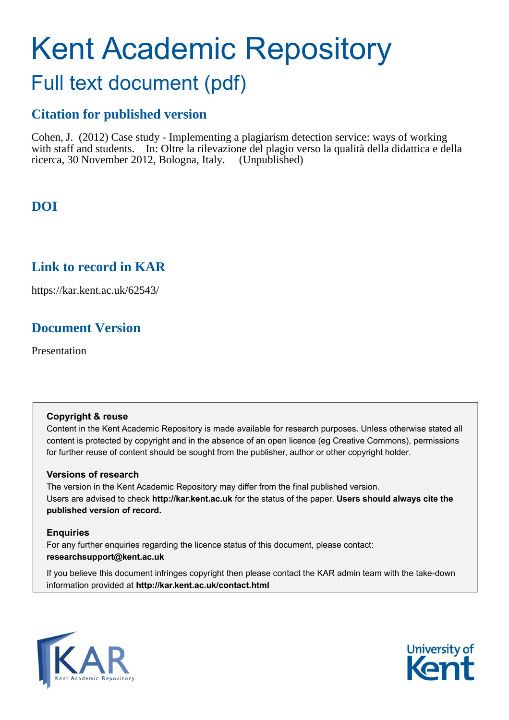# Kent Academic Repository

#### Full text document (pdf)

#### **Citation for published version**

Cohen, J. (2012) Case study - Implementing a plagiarism detection service: ways of working with staff and students. In: Oltre la rilevazione del plagio verso la qualità della didattica e della ricerca, 30 November 2012, Bologna, Italy. (Unpublished)

#### **DOI**

#### **Link to record in KAR**

https://kar.kent.ac.uk/62543/

#### **Document Version**

Presentation

#### **Copyright & reuse**

Content in the Kent Academic Repository is made available for research purposes. Unless otherwise stated all content is protected by copyright and in the absence of an open licence (eg Creative Commons), permissions for further reuse of content should be sought from the publisher, author or other copyright holder.

#### **Versions of research**

The version in the Kent Academic Repository may differ from the final published version. Users are advised to check **http://kar.kent.ac.uk** for the status of the paper. **Users should always cite the published version of record.**

#### **Enquiries**

For any further enquiries regarding the licence status of this document, please contact: **researchsupport@kent.ac.uk**

If you believe this document infringes copyright then please contact the KAR admin team with the take-down information provided at **http://kar.kent.ac.uk/contact.html**



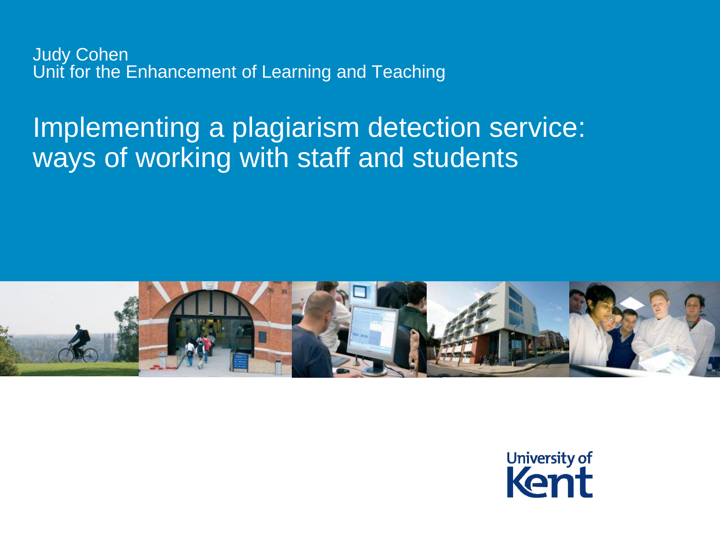Judy Cohen Unit for the Enhancement of Learning and Teaching

# Implementing a plagiarism detection service: ways of working with staff and students



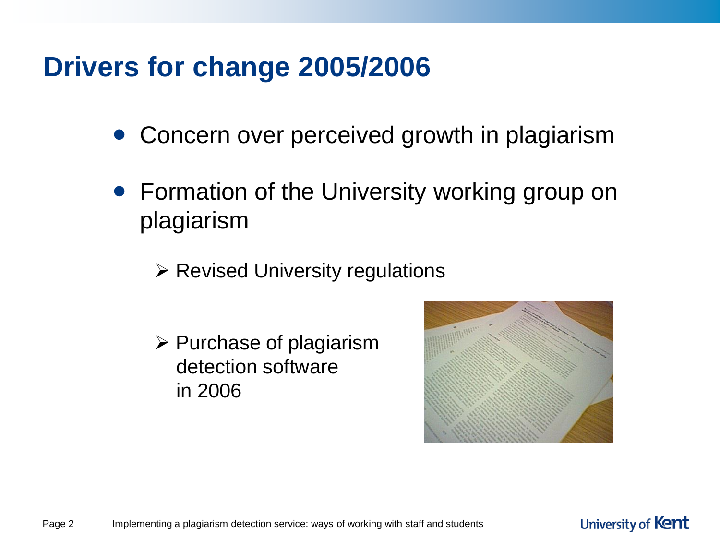# **Drivers for change 2005/2006**

- Concern over perceived growth in plagiarism
- Formation of the University working group on plagiarism
	- $\triangleright$  Revised University regulations
	- $\triangleright$  Purchase of plagiarism detection software in 2006

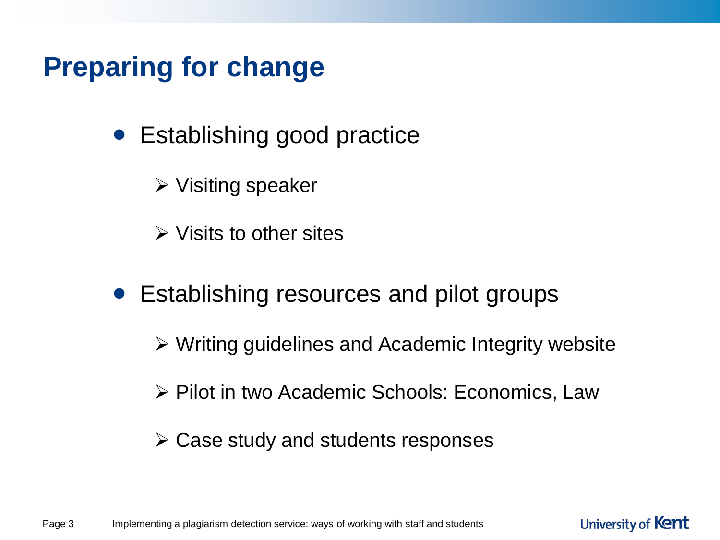# **Preparing for change**

- Establishing good practice
	- $\triangleright$  Visiting speaker
	- $\triangleright$  Visits to other sites
- Establishing resources and pilot groups
	- Writing guidelines and Academic Integrity website
	- **≻ Pilot in two Academic Schools: Economics, Law**

University of Kent

 $\triangleright$  Case study and students responses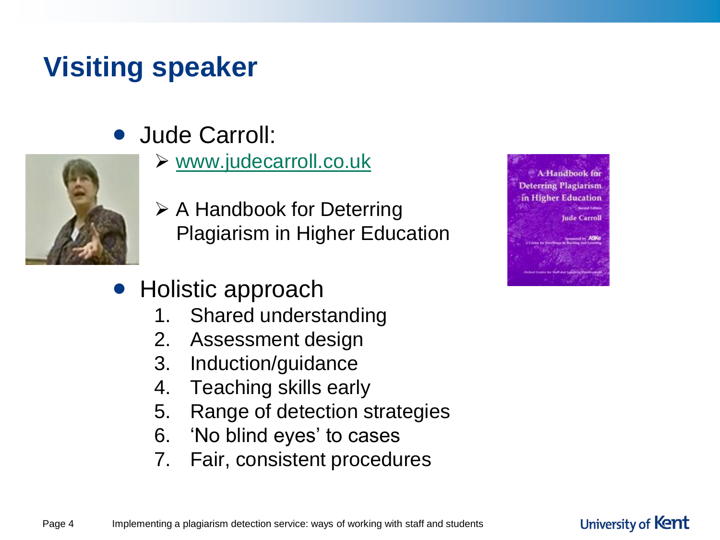# **Visiting speaker**

• Jude Carroll:



- $\triangleright$  [www.judecarroll.co.uk](http://www.judecarroll.co.uk/)
- $\triangleright$  A Handbook for Deterring Plagiarism in Higher Education
- Holistic approach
	- 1. Shared understanding
	- 2. Assessment design
	- 3. Induction/guidance
	- 4. Teaching skills early
	- 5. Range of detection strategies
	- 6. 'No blind eyes' to cases
	- 7. Fair, consistent procedures

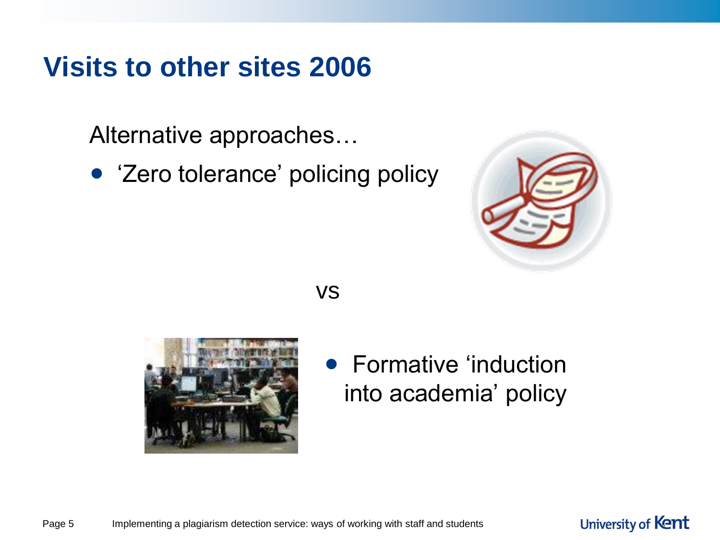## **Visits to other sites 2006**

Alternative approaches…

• 'Zero tolerance' policing policy



University of Kent

vs



• Formative 'induction into academia' policy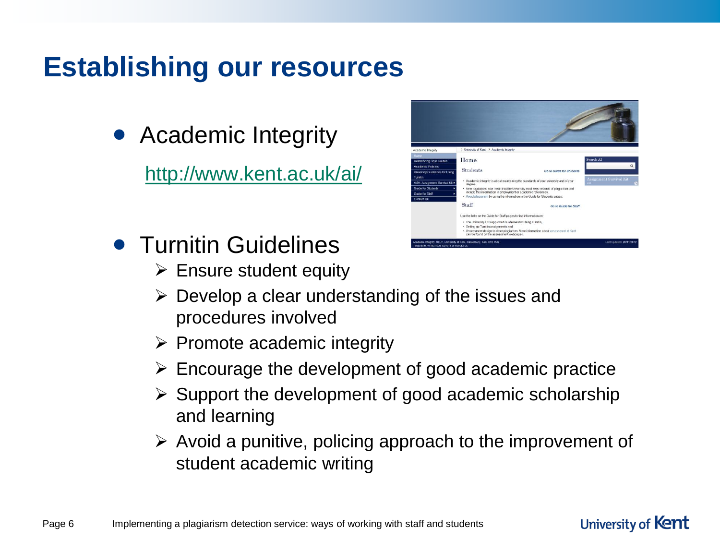## **Establishing our resources**

• Academic Integrity

<http://www.kent.ac.uk/ai/>

- **Turnitin Guidelines** 
	- $\triangleright$  Ensure student equity
	- $\triangleright$  Develop a clear understanding of the issues and procedures involved
	- $\triangleright$  Promote academic integrity
	- $\triangleright$  Encourage the development of good academic practice
	- $\triangleright$  Support the development of good academic scholarship and learning
	- $\triangleright$  Avoid a punitive, policing approach to the improvement of student academic writing

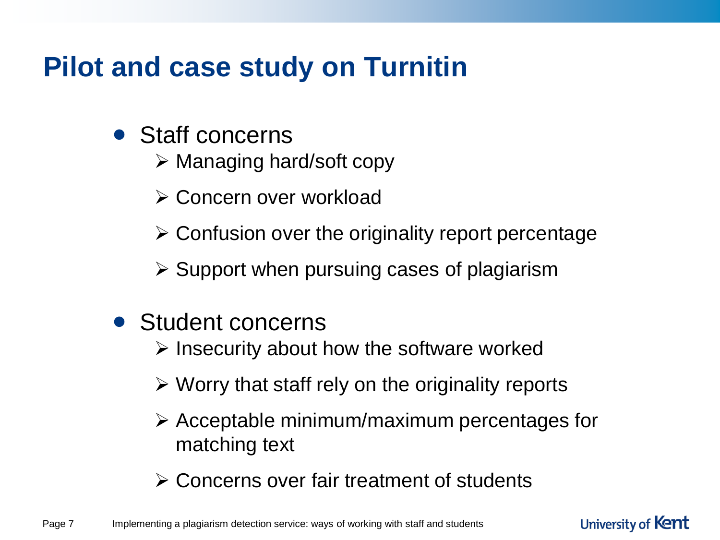# **Pilot and case study on Turnitin**

- Staff concerns
	- $\triangleright$  Managing hard/soft copy
	- **≻ Concern over workload**
	- $\triangleright$  Confusion over the originality report percentage
	- $\triangleright$  Support when pursuing cases of plagiarism
- Student concerns
	- $\triangleright$  Insecurity about how the software worked
	- $\triangleright$  Worry that staff rely on the originality reports
	- $\triangleright$  Acceptable minimum/maximum percentages for matching text
	- Concerns over fair treatment of students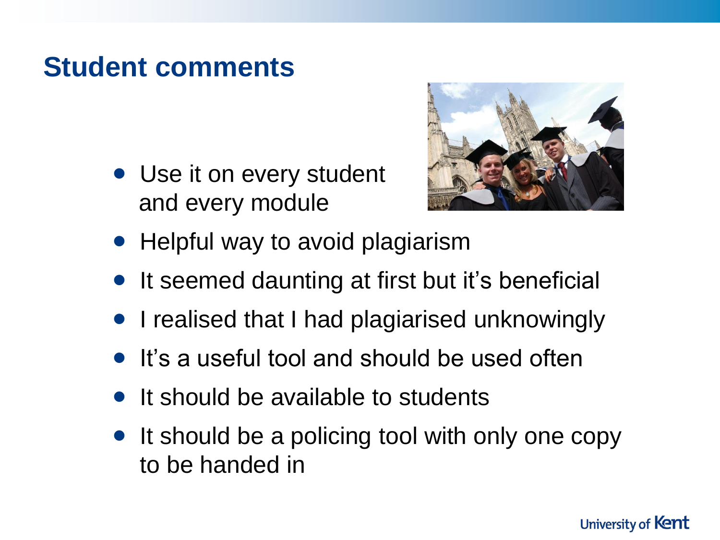#### **Student comments**

• Use it on every student and every module



- Helpful way to avoid plagiarism
- It seemed daunting at first but it's beneficial
- I realised that I had plagiarised unknowingly
- It's a useful tool and should be used often
- It should be available to students
- It should be a policing tool with only one copy to be handed in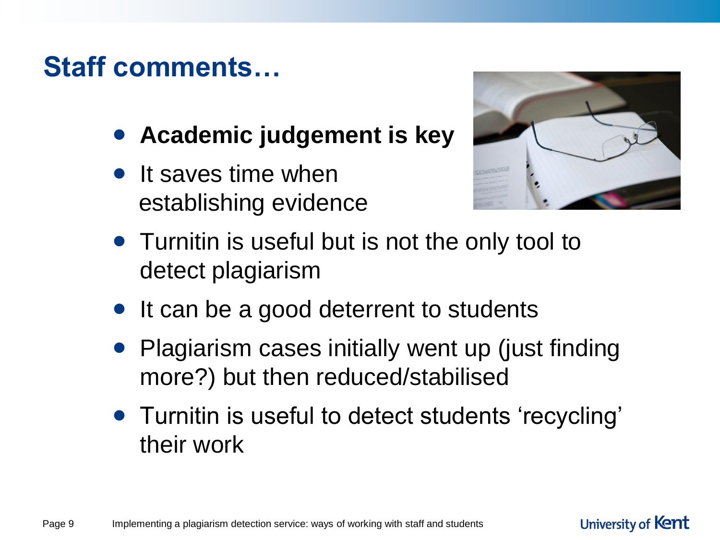# **Staff comments…**

- **Academic judgement is key**
- It saves time when establishing evidence



- Turnitin is useful but is not the only tool to detect plagiarism
- It can be a good deterrent to students
- Plagiarism cases initially went up (just finding more?) but then reduced/stabilised
- Turnitin is useful to detect students 'recycling' their work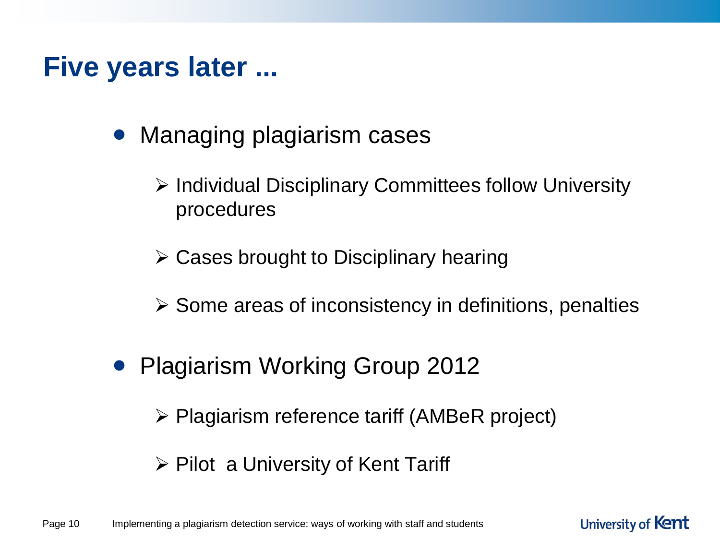#### **Five years later ...**

- Managing plagiarism cases
	- $\triangleright$  Individual Disciplinary Committees follow University procedures
	- $\triangleright$  Cases brought to Disciplinary hearing
	- $\triangleright$  Some areas of inconsistency in definitions, penalties
- Plagiarism Working Group 2012
	- Plagiarism reference tariff (AMBeR project)
	- $\triangleright$  Pilot a University of Kent Tariff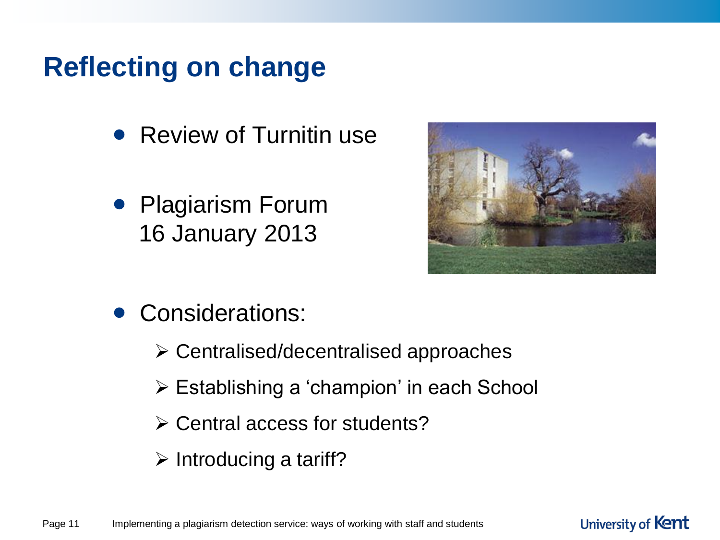# **Reflecting on change**

- Review of Turnitin use
- Plagiarism Forum 16 January 2013



- Considerations:
	- Centralised/decentralised approaches
	- Establishing a 'champion' in each School
	- Central access for students?
	- $\triangleright$  Introducing a tariff?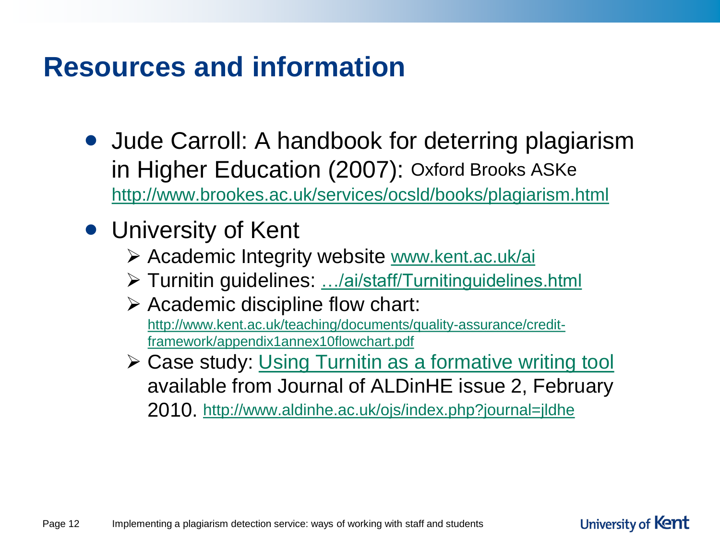#### **Resources and information**

- Jude Carroll: A handbook for deterring plagiarism in Higher Education (2007): Oxford Brooks ASKe <http://www.brookes.ac.uk/services/ocsld/books/plagiarism.html>
- University of Kent
	- Academic Integrity website [www.kent.ac.uk/ai](http://www.kent.ac.uk/ai)
	- Turnitin guidelines: […/ai/staff/Turnitinguidelines.html](http://www.kent.ac.uk/ai/staff/Turnitinguidelines.html)
	- $\triangleright$  Academic discipline flow chart: [http://www.kent.ac.uk/teaching/documents/quality-assurance/credit](http://www.kent.ac.uk/teaching/documents/quality-assurance/credit-framework/appendix1annex10flowchart.pdf)[framework/appendix1annex10flowchart.pdf](http://www.kent.ac.uk/teaching/documents/quality-assurance/credit-framework/appendix1annex10flowchart.pdf)
	- **≻ Case study: [Using Turnitin as a formative writing tool](http://www.aldinhe.ac.uk/ojs/index.php?journal=jldhe&page=article&op=view&path[]=22&path[]=39)** available from Journal of ALDinHE issue 2, February 2010. <http://www.aldinhe.ac.uk/ojs/index.php?journal=jldhe>